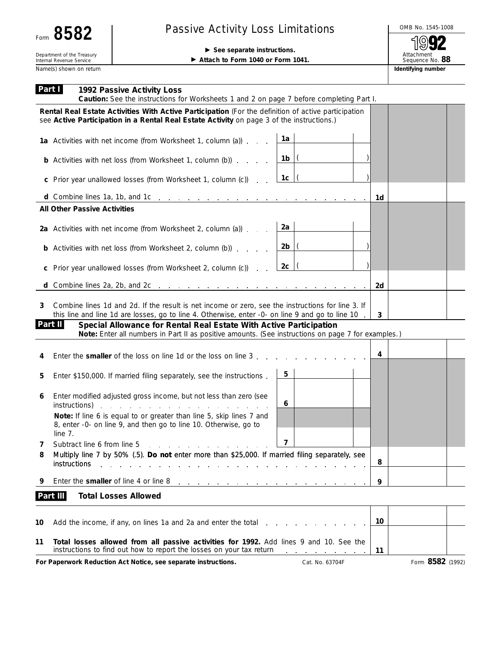## Passive Activity Loss Limitations<br>
Second introduced and the set of the set of the set of the set of the set of the set of the set of the set of the set of the set of the set of the set of the set of the set of the set of

Department of the Treasury<br>
Internal Revenue Service<br> **Example 1940** or Form 1040 or Form 1040 or Form 1040 or Form 1040 or Form 1040 or Form 1040 or Form 1040 or Form 1040 or Form 1040 or Form 1040 or Form 1040 or Form 1 ▶ Attach to Form 1040 or Form 1041.

92 Attachment Sequence No. **88**

Name(s) shown on return **Identifying number Identifying number Identifying number** 

| Part I | 1992 Passive Activity Loss<br>Caution: See the instructions for Worksheets 1 and 2 on page 7 before completing Part I.                                                                                                                                                                                                                                                                       |    |                  |
|--------|----------------------------------------------------------------------------------------------------------------------------------------------------------------------------------------------------------------------------------------------------------------------------------------------------------------------------------------------------------------------------------------------|----|------------------|
|        | Rental Real Estate Activities With Active Participation (For the definition of active participation<br>see Active Participation in a Rental Real Estate Activity on page 3 of the instructions.)                                                                                                                                                                                             |    |                  |
|        | 1a<br>1a Activities with net income (from Worksheet 1, column (a))                                                                                                                                                                                                                                                                                                                           |    |                  |
|        | $1b$ $\vert$ $\vert$<br><b>b</b> Activities with net loss (from Worksheet 1, column (b))                                                                                                                                                                                                                                                                                                     |    |                  |
|        | 1c $ $<br>c Prior year unallowed losses (from Worksheet 1, column (c))                                                                                                                                                                                                                                                                                                                       |    |                  |
|        |                                                                                                                                                                                                                                                                                                                                                                                              | 1d |                  |
|        | <b>All Other Passive Activities</b>                                                                                                                                                                                                                                                                                                                                                          |    |                  |
|        | 2a<br>2a Activities with net income (from Worksheet 2, column (a))                                                                                                                                                                                                                                                                                                                           |    |                  |
|        | $2b$ $\vert$ $\vert$<br><b>b</b> Activities with net loss (from Worksheet 2, column (b))                                                                                                                                                                                                                                                                                                     |    |                  |
| C      | $2c$  (<br>Prior year unallowed losses (from Worksheet 2, column (c))                                                                                                                                                                                                                                                                                                                        |    |                  |
|        |                                                                                                                                                                                                                                                                                                                                                                                              | 2d |                  |
| 3      | Combine lines 1d and 2d. If the result is net income or zero, see the instructions for line 3. If<br>this line and line 1d are losses, go to line 4. Otherwise, enter -0- on line 9 and go to line 10<br>Part II<br>Special Allowance for Rental Real Estate With Active Participation<br>Note: Enter all numbers in Part II as positive amounts. (See instructions on page 7 for examples.) | 3  |                  |
|        |                                                                                                                                                                                                                                                                                                                                                                                              |    |                  |
| 4      | Enter the <b>smaller</b> of the loss on line 1d or the loss on line 3                                                                                                                                                                                                                                                                                                                        | 4  |                  |
| 5      | 5<br>Enter \$150,000. If married filing separately, see the instructions.                                                                                                                                                                                                                                                                                                                    |    |                  |
| 6      | Enter modified adjusted gross income, but not less than zero (see<br>6<br>instructions)<br>and the company of the company of                                                                                                                                                                                                                                                                 |    |                  |
|        | Note: If line 6 is equal to or greater than line 5, skip lines 7 and<br>8, enter -0- on line 9, and then go to line 10. Otherwise, go to<br>line 7.                                                                                                                                                                                                                                          |    |                  |
| 7      | 7<br>Subtract line 6 from line 5<br>the contract of the contract of the contract of the contract of the contract of the contract of the contract of                                                                                                                                                                                                                                          |    |                  |
| 8      | Multiply line 7 by 50% (.5). Do not enter more than \$25,000. If married filing separately, see<br>instructions                                                                                                                                                                                                                                                                              | 8  |                  |
| 9      | Enter the smaller of line 4 or line 8<br>the contract of the contract of the contract of the contract of the contract of                                                                                                                                                                                                                                                                     | 9  |                  |
|        | Part III<br><b>Total Losses Allowed</b>                                                                                                                                                                                                                                                                                                                                                      |    |                  |
| 10     | Add the income, if any, on lines 1a and 2a and enter the total                                                                                                                                                                                                                                                                                                                               | 10 |                  |
| 11     | Total losses allowed from all passive activities for 1992. Add lines 9 and 10. See the<br>instructions to find out how to report the losses on your tax return                                                                                                                                                                                                                               | 11 |                  |
|        | For Paperwork Reduction Act Notice, see separate instructions.<br>Cat. No. 63704F                                                                                                                                                                                                                                                                                                            |    | Form 8582 (1992) |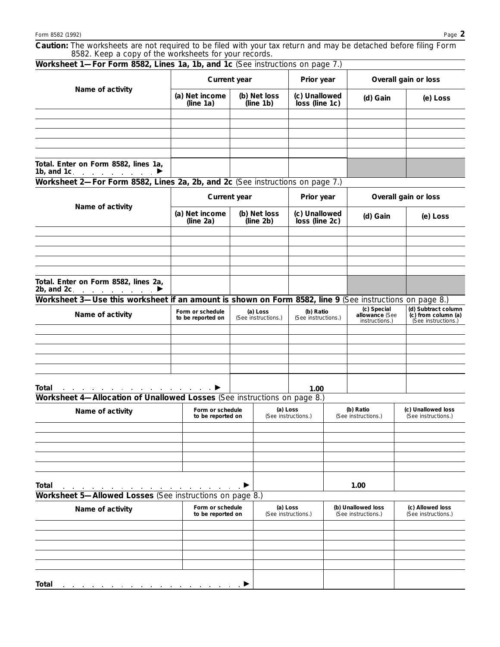**Caution:** *The worksheets are not required to be filed with your tax return and may be detached before filing Form 8582. Keep a copy of the worksheets for your records.*

| Worksheet 1-For Form 8582, Lines 1a, 1b, and 1c (See instructions on page 7.)                           |                                                       |                                       |                                                              |                                  |                      |                                                 |                                                                   |  |
|---------------------------------------------------------------------------------------------------------|-------------------------------------------------------|---------------------------------------|--------------------------------------------------------------|----------------------------------|----------------------|-------------------------------------------------|-------------------------------------------------------------------|--|
| Name of activity                                                                                        | Current year                                          |                                       |                                                              | Prior year                       |                      | Overall gain or loss                            |                                                                   |  |
|                                                                                                         | (a) Net income<br>(line 1a)                           | (b) Net loss<br>(line 1b)             |                                                              | (c) Unallowed<br>loss (line 1c)  |                      | (d) Gain                                        | (e) Loss                                                          |  |
|                                                                                                         |                                                       |                                       |                                                              |                                  |                      |                                                 |                                                                   |  |
|                                                                                                         |                                                       |                                       |                                                              |                                  |                      |                                                 |                                                                   |  |
|                                                                                                         |                                                       |                                       |                                                              |                                  |                      |                                                 |                                                                   |  |
|                                                                                                         |                                                       |                                       |                                                              |                                  |                      |                                                 |                                                                   |  |
| Total. Enter on Form 8582, lines 1a,<br>1b, and 1c. $\blacksquare$                                      |                                                       |                                       |                                                              |                                  |                      |                                                 |                                                                   |  |
| Worksheet 2-For Form 8582, Lines 2a, 2b, and 2c (See instructions on page 7.)                           |                                                       |                                       |                                                              |                                  |                      |                                                 |                                                                   |  |
| Name of activity                                                                                        | <b>Current year</b>                                   |                                       | Prior year                                                   |                                  | Overall gain or loss |                                                 |                                                                   |  |
|                                                                                                         | (a) Net income<br>(line $2a$ )                        |                                       | (b) Net loss<br>(c) Unallowed<br>(line 2b)<br>loss (line 2c) |                                  |                      | (d) Gain                                        | (e) Loss                                                          |  |
|                                                                                                         |                                                       |                                       |                                                              |                                  |                      |                                                 |                                                                   |  |
|                                                                                                         |                                                       |                                       |                                                              |                                  |                      |                                                 |                                                                   |  |
|                                                                                                         |                                                       |                                       |                                                              |                                  |                      |                                                 |                                                                   |  |
|                                                                                                         |                                                       |                                       |                                                              |                                  |                      |                                                 |                                                                   |  |
| Total. Enter on Form 8582, lines 2a,<br>2b, and 2c. $\qquad \qquad \bullet$                             |                                                       |                                       |                                                              |                                  |                      |                                                 |                                                                   |  |
| Worksheet 3—Use this worksheet if an amount is shown on Form 8582, line 9 (See instructions on page 8.) |                                                       |                                       |                                                              |                                  |                      |                                                 |                                                                   |  |
| Name of activity                                                                                        | Form or schedule<br>to be reported on                 | (a) Loss<br>(See instructions.)       |                                                              | (b) Ratio<br>(See instructions.) |                      | (c) Special<br>allowance (See<br>instructions.) | (d) Subtract column<br>(c) from column (a)<br>(See instructions.) |  |
|                                                                                                         |                                                       |                                       |                                                              |                                  |                      |                                                 |                                                                   |  |
|                                                                                                         |                                                       |                                       |                                                              |                                  |                      |                                                 |                                                                   |  |
|                                                                                                         |                                                       |                                       |                                                              |                                  |                      |                                                 |                                                                   |  |
|                                                                                                         |                                                       |                                       |                                                              |                                  |                      |                                                 |                                                                   |  |
| Total                                                                                                   | $\mathcal{A}$ , and $\mathcal{A}$ , and $\mathcal{A}$ |                                       |                                                              | 1.00                             |                      |                                                 |                                                                   |  |
| Worksheet 4-Allocation of Unallowed Losses (See instructions on page 8.)                                |                                                       |                                       |                                                              |                                  |                      |                                                 |                                                                   |  |
| Name of activity                                                                                        |                                                       | Form or schedule<br>to be reported on |                                                              | (a) Loss<br>(See instructions.)  |                      | (b) Ratio                                       | (c) Unallowed loss                                                |  |
|                                                                                                         |                                                       |                                       |                                                              |                                  |                      | (See instructions.)                             | (See instructions.)                                               |  |
|                                                                                                         |                                                       |                                       |                                                              |                                  |                      |                                                 |                                                                   |  |
|                                                                                                         |                                                       |                                       |                                                              |                                  |                      |                                                 |                                                                   |  |
|                                                                                                         |                                                       |                                       |                                                              |                                  |                      |                                                 |                                                                   |  |
|                                                                                                         |                                                       |                                       |                                                              |                                  |                      |                                                 |                                                                   |  |
|                                                                                                         |                                                       |                                       |                                                              |                                  |                      |                                                 |                                                                   |  |
| Total<br>Worksheet 5-Allowed Losses (See instructions on page 8.)                                       |                                                       |                                       |                                                              |                                  |                      | 1.00                                            |                                                                   |  |
| Name of activity                                                                                        |                                                       | Form or schedule<br>to be reported on |                                                              | (a) Loss<br>(See instructions.)  |                      | (b) Unallowed loss<br>(See instructions.)       | (c) Allowed loss<br>(See instructions.)                           |  |
|                                                                                                         |                                                       |                                       |                                                              |                                  |                      |                                                 |                                                                   |  |
|                                                                                                         |                                                       |                                       |                                                              |                                  |                      |                                                 |                                                                   |  |
|                                                                                                         |                                                       |                                       |                                                              |                                  |                      |                                                 |                                                                   |  |
|                                                                                                         |                                                       |                                       |                                                              |                                  |                      |                                                 |                                                                   |  |
|                                                                                                         |                                                       |                                       |                                                              |                                  |                      |                                                 |                                                                   |  |
| <b>Total</b>                                                                                            |                                                       |                                       |                                                              |                                  |                      |                                                 |                                                                   |  |